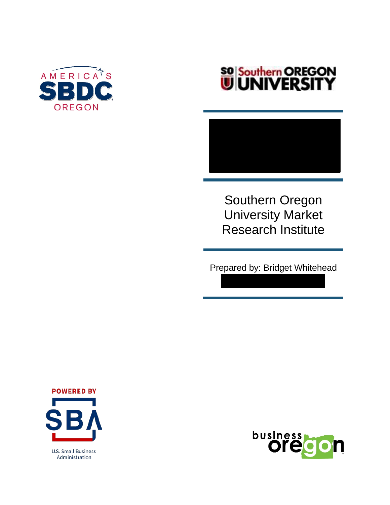

# **SO Southern OREGON**<br>UNIVERSITY

Southern Oregon University Market Research Institute

Prepared by: Bridget Whitehead



**U.S. Small Business** Administration

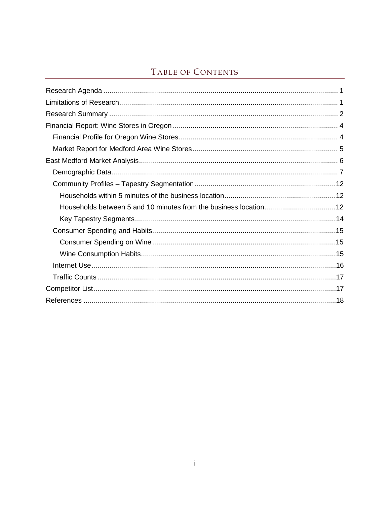# TABLE OF CONTENTS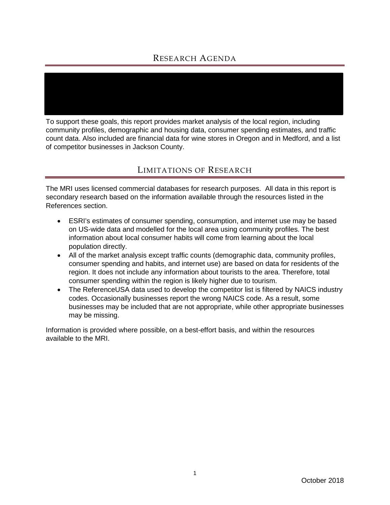## RESEARCH AGENDA

<span id="page-2-0"></span>To support these goals, this report provides market analysis of the local region, including community profiles, demographic and housing data, consumer spending estimates, and traffic count data. Also included are financial data for wine stores in Oregon and in Medford, and a list of competitor businesses in Jackson County.

## LIMITATIONS OF RESEARCH

<span id="page-2-1"></span>The MRI uses licensed commercial databases for research purposes. All data in this report is secondary research based on the information available through the resources listed in the References section.

- ESRI's estimates of consumer spending, consumption, and internet use may be based on US-wide data and modelled for the local area using community profiles. The best information about local consumer habits will come from learning about the local population directly.
- All of the market analysis except traffic counts (demographic data, community profiles, consumer spending and habits, and internet use) are based on data for residents of the region. It does not include any information about tourists to the area. Therefore, total consumer spending within the region is likely higher due to tourism.
- The ReferenceUSA data used to develop the competitor list is filtered by NAICS industry codes. Occasionally businesses report the wrong NAICS code. As a result, some businesses may be included that are not appropriate, while other appropriate businesses may be missing.

Information is provided where possible, on a best-effort basis, and within the resources available to the MRI.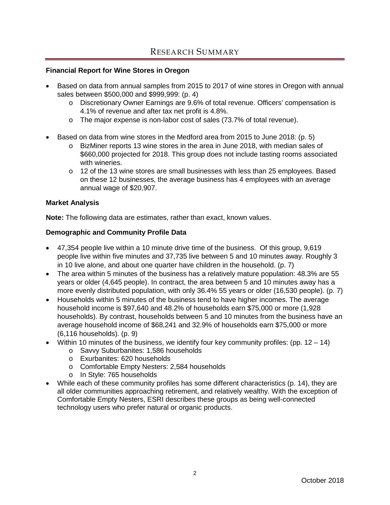#### <span id="page-3-0"></span>**Financial Report for Wine Stores in Oregon**

- Based on data from annual samples from 2015 to 2017 of wine stores in Oregon with annual sales between \$500,000 and \$999,999: (p. 4)
	- o Discretionary Owner Earnings are 9.6% of total revenue. Officers' compensation is 4.1% of revenue and after tax net profit is 4.8%.
	- o The major expense is non-labor cost of sales (73.7% of total revenue).
- Based on data from wine stores in the Medford area from 2015 to June 2018: (p. 5)
	- o BizMiner reports 13 wine stores in the area in June 2018, with median sales of \$660,000 projected for 2018. This group does not include tasting rooms associated with wineries.
	- $\circ$  12 of the 13 wine stores are small businesses with less than 25 employees. Based on these 12 businesses, the average business has 4 employees with an average annual wage of \$20,907.

#### **Market Analysis**

**Note:** The following data are estimates, rather than exact, known values.

#### **Demographic and Community Profile Data**

- 47,354 people live within a 10 minute drive time of the business. Of this group, 9,619 people live within five minutes and 37,735 live between 5 and 10 minutes away. Roughly 3 in 10 live alone, and about one quarter have children in the household. (p. 7)
- The area within 5 minutes of the business has a relatively mature population: 48.3% are 55 years or older (4,645 people). In contract, the area between 5 and 10 minutes away has a more evenly distributed population, with only 36.4% 55 years or older (16,530 people). (p. 7)
- Households within 5 minutes of the business tend to have higher incomes. The average household income is \$97,640 and 48.2% of households earn \$75,000 or more (1,928 households). By contrast, households between 5 and 10 minutes from the business have an average household income of \$68,241 and 32.9% of households earn \$75,000 or more (6,116 households). (p. 9)
- Within 10 minutes of the business, we identify four key community profiles: (pp.  $12 14$ )
	- o Savvy Suburbanites: 1,586 households
	- o Exurbanites: 620 households
	- o Comfortable Empty Nesters: 2,584 households
	- o In Style: 765 households
- While each of these community profiles has some different characteristics (p. 14), they are all older communities approaching retirement, and relatively wealthy. With the exception of Comfortable Empty Nesters, ESRI describes these groups as being well-connected technology users who prefer natural or organic products.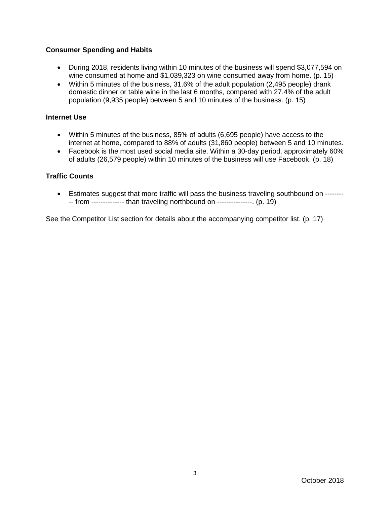#### **Consumer Spending and Habits**

- During 2018, residents living within 10 minutes of the business will spend \$3,077,594 on wine consumed at home and \$1,039,323 on wine consumed away from home. (p. 15)
- Within 5 minutes of the business, 31.6% of the adult population (2,495 people) drank domestic dinner or table wine in the last 6 months, compared with 27.4% of the adult population (9,935 people) between 5 and 10 minutes of the business. (p. 15)

#### **Internet Use**

- Within 5 minutes of the business, 85% of adults (6,695 people) have access to the internet at home, compared to 88% of adults (31,860 people) between 5 and 10 minutes.
- Facebook is the most used social media site. Within a 30-day period, approximately 60% of adults (26,579 people) within 10 minutes of the business will use Facebook. (p. 18)

#### **Traffic Counts**

• Estimates suggest that more traffic will pass the business traveling southbound on ---------- from -------------- than traveling northbound on ---------------. (p. 19)

See the Competitor List section for details about the accompanying competitor list. (p. 17)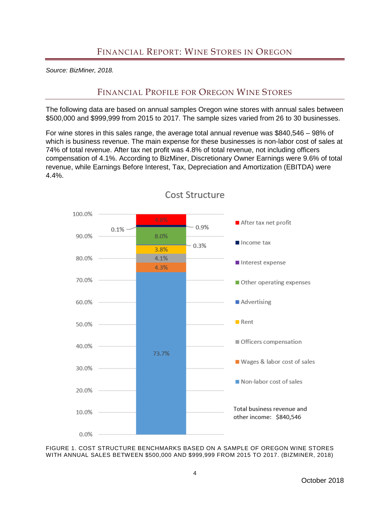<span id="page-5-1"></span><span id="page-5-0"></span>*Source: BizMiner, 2018.*

# FINANCIAL PROFILE FOR OREGON WINE STORES

The following data are based on annual samples Oregon wine stores with annual sales between \$500,000 and \$999,999 from 2015 to 2017. The sample sizes varied from 26 to 30 businesses.

For wine stores in this sales range, the average total annual revenue was \$840,546 – 98% of which is business revenue. The main expense for these businesses is non-labor cost of sales at 74% of total revenue. After tax net profit was 4.8% of total revenue, not including officers compensation of 4.1%. According to BizMiner, Discretionary Owner Earnings were 9.6% of total revenue, while Earnings Before Interest, Tax, Depreciation and Amortization (EBITDA) were 4.4%.



Cost Structure

FIGURE 1. COST STRUCTURE BENCHMARKS BASED ON A SAMPLE OF OREGON WINE STORES WITH ANNUAL SALES BETWEEN \$500,000 AND \$999,999 FROM 2015 TO 2017. (BIZMINER, 2018)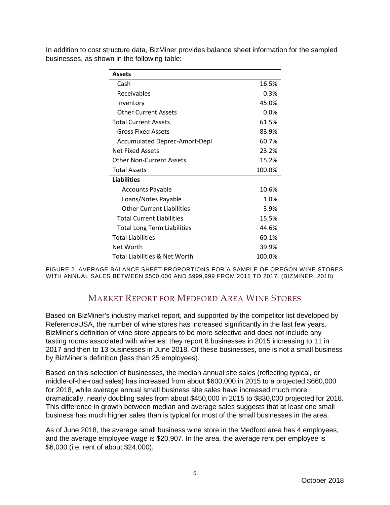| <b>Assets</b>                        |         |
|--------------------------------------|---------|
| Cash                                 | 16.5%   |
| Receivables                          | 0.3%    |
| Inventory                            | 45.0%   |
| <b>Other Current Assets</b>          | $0.0\%$ |
| <b>Total Current Assets</b>          | 61.5%   |
| Gross Fixed Assets                   | 83.9%   |
| <b>Accumulated Deprec-Amort-Depl</b> | 60.7%   |
| Net Fixed Assets                     | 23.2%   |
| Other Non-Current Assets             | 15.2%   |
| <b>Total Assets</b>                  | 100.0%  |
| <b>Liabilities</b>                   |         |
| <b>Accounts Payable</b>              | 10.6%   |
| Loans/Notes Payable                  | 1.0%    |
| <b>Other Current Liabilities</b>     | 3.9%    |
| <b>Total Current Liabilities</b>     | 15.5%   |
| <b>Total Long Term Liabilities</b>   | 44.6%   |
| <b>Total Liabilities</b>             | 60.1%   |
| Net Worth                            | 39.9%   |
| Total Liabilities & Net Worth        | 100.0%  |

In addition to cost structure data, BizMiner provides balance sheet information for the sampled businesses, as shown in the following table:

<span id="page-6-0"></span>FIGURE 2. AVERAGE BALANCE SHEET PROPORTIONS FOR A SAMPLE OF OREGON WINE STORES WITH ANNUAL SALES BETWEEN \$500,000 AND \$999,999 FROM 2015 TO 2017. (BIZMINER, 2018)

## MARKET REPORT FOR MEDFORD AREA WINE STORES

Based on BizMiner's industry market report, and supported by the competitor list developed by ReferenceUSA, the number of wine stores has increased significantly in the last few years. BizMiner's definition of wine store appears to be more selective and does not include any tasting rooms associated with wineries: they report 8 businesses in 2015 increasing to 11 in 2017 and then to 13 businesses in June 2018. Of these businesses, one is not a small business by BizMiner's definition (less than 25 employees).

Based on this selection of businesses, the median annual site sales (reflecting typical, or middle-of-the-road sales) has increased from about \$600,000 in 2015 to a projected \$660,000 for 2018, while average annual small business site sales have increased much more dramatically, nearly doubling sales from about \$450,000 in 2015 to \$830,000 projected for 2018. This difference in growth between median and average sales suggests that at least one small business has much higher sales than is typical for most of the small businesses in the area.

As of June 2018, the average small business wine store in the Medford area has 4 employees, and the average employee wage is \$20,907. In the area, the average rent per employee is \$6,030 (i.e. rent of about \$24,000).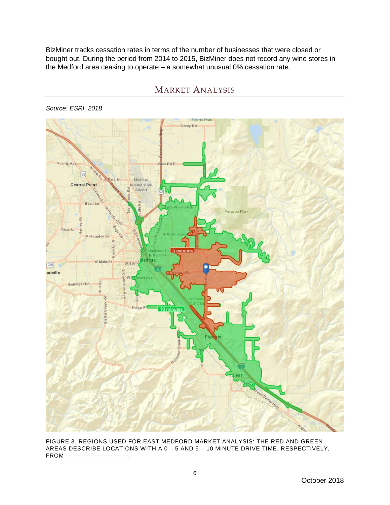BizMiner tracks cessation rates in terms of the number of businesses that were closed or bought out. During the period from 2014 to 2015, BizMiner does not record any wine stores in the Medford area ceasing to operate – a somewhat unusual 0% cessation rate.



#### MARKET ANALYSIS

<span id="page-7-0"></span>*Source: ESRI, 2018*

FIGURE 3. REGIONS USED FOR EAST MEDFORD MARKET ANALYSIS: THE RED AND GREEN AREAS DESCRIBE LOCATIONS WITH A 0 – 5 AND 5 – 10 MINUTE DRIVE TIME, RESPECTIVELY, FROM ----------------------------.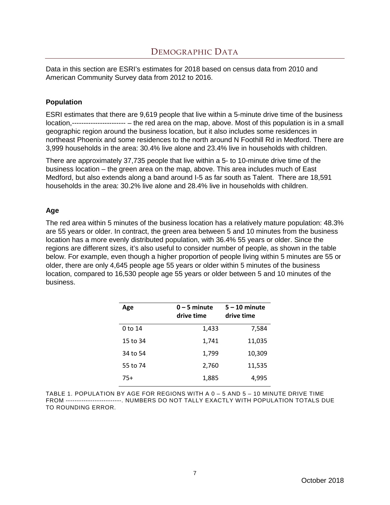<span id="page-8-0"></span>Data in this section are ESRI's estimates for 2018 based on census data from 2010 and American Community Survey data from 2012 to 2016.

#### **Population**

ESRI estimates that there are 9,619 people that live within a 5-minute drive time of the business location,----------------------- – the red area on the map, above. Most of this population is in a small geographic region around the business location, but it also includes some residences in northeast Phoenix and some residences to the north around N Foothill Rd in Medford. There are 3,999 households in the area: 30.4% live alone and 23.4% live in households with children.

There are approximately 37,735 people that live within a 5- to 10-minute drive time of the business location – the green area on the map, above. This area includes much of East Medford, but also extends along a band around I-5 as far south as Talent. There are 18,591 households in the area: 30.2% live alone and 28.4% live in households with children.

### **Age**

The red area within 5 minutes of the business location has a relatively mature population: 48.3% are 55 years or older. In contract, the green area between 5 and 10 minutes from the business location has a more evenly distributed population, with 36.4% 55 years or older. Since the regions are different sizes, it's also useful to consider number of people, as shown in the table below. For example, even though a higher proportion of people living within 5 minutes are 55 or older, there are only 4,645 people age 55 years or older within 5 minutes of the business location, compared to 16,530 people age 55 years or older between 5 and 10 minutes of the business.

| Age      | $0 - 5$ minute<br>drive time | $5 - 10$ minute<br>drive time |
|----------|------------------------------|-------------------------------|
| 0 to 14  | 1,433                        | 7,584                         |
| 15 to 34 | 1,741                        | 11,035                        |
| 34 to 54 | 1,799                        | 10,309                        |
| 55 to 74 | 2,760                        | 11,535                        |
| 75+      | 1,885                        | 4,995                         |

TABLE 1. POPULATION BY AGE FOR REGIONS WITH A 0 – 5 AND 5 – 10 MINUTE DRIVE TIME FROM -------------------------. NUMBERS DO NOT TALLY EXACTLY WITH POPULATION TOTALS DUE TO ROUNDING ERROR.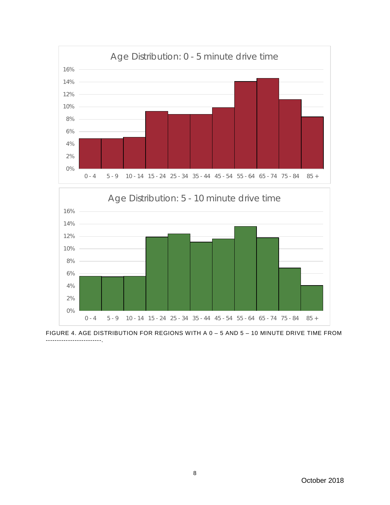

FIGURE 4. AGE DISTRIBUTION FOR REGIONS WITH A 0 – 5 AND 5 – 10 MINUTE DRIVE TIME FROM -------------------------.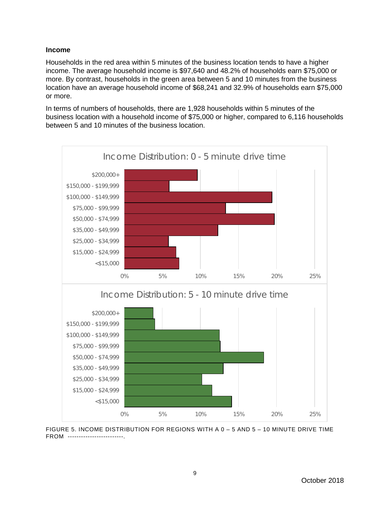#### **Income**

Households in the red area within 5 minutes of the business location tends to have a higher income. The average household income is \$97,640 and 48.2% of households earn \$75,000 or more. By contrast, households in the green area between 5 and 10 minutes from the business location have an average household income of \$68,241 and 32.9% of households earn \$75,000 or more.

In terms of numbers of households, there are 1,928 households within 5 minutes of the business location with a household income of \$75,000 or higher, compared to 6,116 households between 5 and 10 minutes of the business location.



FIGURE 5. INCOME DISTRIBUTION FOR REGIONS WITH A 0 – 5 AND 5 – 10 MINUTE DRIVE TIME FROM -------------------------.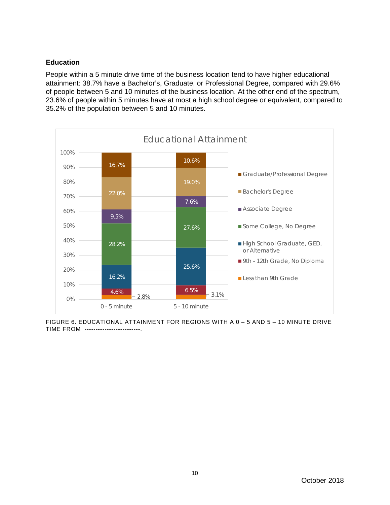#### **Education**

People within a 5 minute drive time of the business location tend to have higher educational attainment: 38.7% have a Bachelor's, Graduate, or Professional Degree, compared with 29.6% of people between 5 and 10 minutes of the business location. At the other end of the spectrum, 23.6% of people within 5 minutes have at most a high school degree or equivalent, compared to 35.2% of the population between 5 and 10 minutes.



FIGURE 6. EDUCATIONAL ATTAINMENT FOR REGIONS WITH A 0 – 5 AND 5 – 10 MINUTE DRIVE TIME FROM -------------------------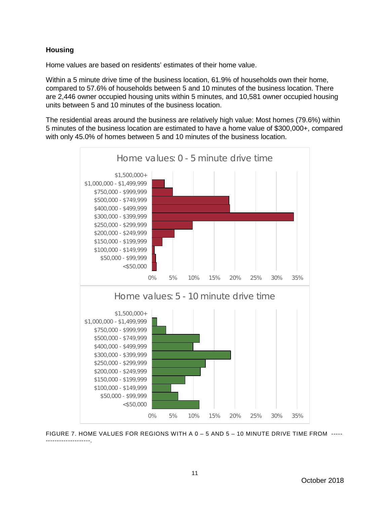#### **Housing**

Home values are based on residents' estimates of their home value.

Within a 5 minute drive time of the business location, 61.9% of households own their home, compared to 57.6% of households between 5 and 10 minutes of the business location. There are 2,446 owner occupied housing units within 5 minutes, and 10,581 owner occupied housing units between 5 and 10 minutes of the business location.

The residential areas around the business are relatively high value: Most homes (79.6%) within 5 minutes of the business location are estimated to have a home value of \$300,000+, compared with only 45.0% of homes between 5 and 10 minutes of the business location.



FIGURE 7. HOME VALUES FOR REGIONS WITH A 0 – 5 AND 5 – 10 MINUTE DRIVE TIME FROM ----- --------------------.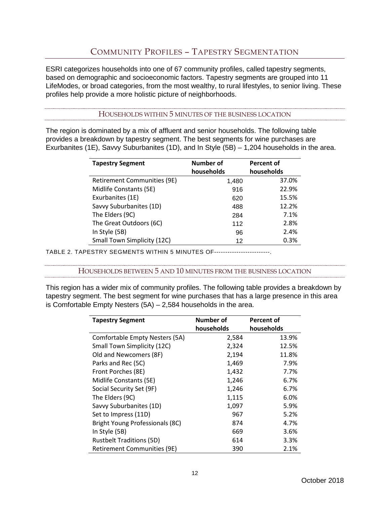# COMMUNITY PROFILES – TAPESTRY SEGMENTATION

<span id="page-13-0"></span>ESRI categorizes households into one of 67 community profiles, called tapestry segments, based on demographic and socioeconomic factors. Tapestry segments are grouped into 11 LifeModes, or broad categories, from the most wealthy, to rural lifestyles, to senior living. These profiles help provide a more holistic picture of neighborhoods.

HOUSEHOLDS WITHIN 5 MINUTES OF THE BUSINESS LOCATION

<span id="page-13-1"></span>The region is dominated by a mix of affluent and senior households. The following table provides a breakdown by tapestry segment. The best segments for wine purchases are Exurbanites (1E), Savvy Suburbanites (1D), and In Style (5B) – 1,204 households in the area.

| <b>Tapestry Segment</b>     | Number of<br>households | Percent of<br>households |
|-----------------------------|-------------------------|--------------------------|
| Retirement Communities (9E) | 1,480                   | 37.0%                    |
| Midlife Constants (5E)      | 916                     | 22.9%                    |
| Exurbanites (1E)            | 620                     | 15.5%                    |
| Savvy Suburbanites (1D)     | 488                     | 12.2%                    |
| The Elders (9C)             | 284                     | 7.1%                     |
| The Great Outdoors (6C)     | 112                     | 2.8%                     |
| In Style (5B)               | 96                      | 2.4%                     |
| Small Town Simplicity (12C) | 12                      | 0.3%                     |

<span id="page-13-2"></span>TABLE 2. TAPESTRY SEGMENTS WITHIN 5 MINUTES OF-------------------------.

HOUSEHOLDS BETWEEN 5 AND 10 MINUTES FROM THE BUSINESS LOCATION

This region has a wider mix of community profiles. The following table provides a breakdown by tapestry segment. The best segment for wine purchases that has a large presence in this area is Comfortable Empty Nesters (5A) – 2,584 households in the area.

| <b>Tapestry Segment</b>         | Number of  | Percent of |  |
|---------------------------------|------------|------------|--|
|                                 | households | households |  |
| Comfortable Empty Nesters (5A)  | 2,584      | 13.9%      |  |
| Small Town Simplicity (12C)     | 2,324      | 12.5%      |  |
| Old and Newcomers (8F)          | 2,194      | 11.8%      |  |
| Parks and Rec (5C)              | 1,469      | 7.9%       |  |
| Front Porches (8E)              | 1,432      | 7.7%       |  |
| Midlife Constants (5E)          | 1,246      | 6.7%       |  |
| Social Security Set (9F)        | 1,246      | 6.7%       |  |
| The Elders (9C)                 | 1,115      | 6.0%       |  |
| Savvy Suburbanites (1D)         | 1,097      | 5.9%       |  |
| Set to Impress (11D)            | 967        | 5.2%       |  |
| Bright Young Professionals (8C) | 874        | 4.7%       |  |
| In Style (5B)                   | 669        | 3.6%       |  |
| <b>Rustbelt Traditions (5D)</b> | 614        | 3.3%       |  |
| Retirement Communities (9E)     | 390        | 2.1%       |  |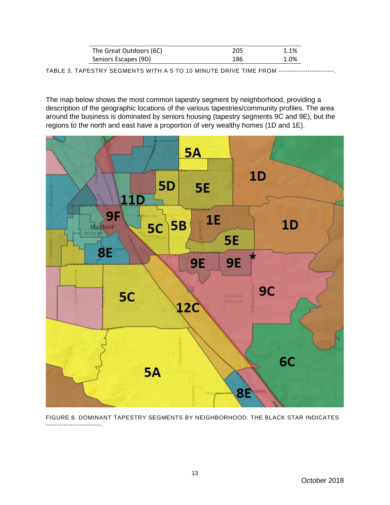| The Great Outdoors (6C) | 205 | 1.1% |
|-------------------------|-----|------|
| Seniors Escapes (9D)    | 186 | 1.0% |

TABLE 3. TAPESTRY SEGMENTS WITH A 5 TO 10 MINUTE DRIVE TIME FROM -------------------------.

The map below shows the most common tapestry segment by neighborhood, providing a description of the geographic locations of the various tapestries/community profiles. The area around the business is dominated by seniors housing (tapestry segments 9C and 9E), but the regions to the north and east have a proportion of very wealthy homes (1D and 1E).



FIGURE 8. DOMINANT TAPESTRY SEGMENTS BY NEIGHBORHOOD. THE BLACK STAR INDICATES -------------------------.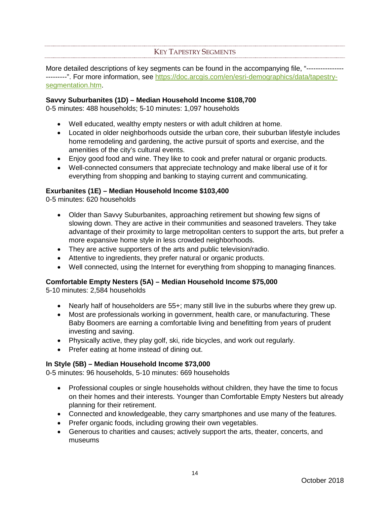#### KEY TAPESTRY SEGMENTS

<span id="page-15-0"></span>More detailed descriptions of key segments can be found in the accompanying file, "------------------------". For more information, see [https://doc.arcgis.com/en/esri-demographics/data/tapestry](https://doc.arcgis.com/en/esri-demographics/data/tapestry-segmentation.htm)[segmentation.htm.](https://doc.arcgis.com/en/esri-demographics/data/tapestry-segmentation.htm)

#### **Savvy Suburbanites (1D) – Median Household Income \$108,700**

0-5 minutes: 488 households; 5-10 minutes: 1,097 households

- Well educated, wealthy empty nesters or with adult children at home.
- Located in older neighborhoods outside the urban core, their suburban lifestyle includes home remodeling and gardening, the active pursuit of sports and exercise, and the amenities of the city's cultural events.
- Enjoy good food and wine. They like to cook and prefer natural or organic products.
- Well-connected consumers that appreciate technology and make liberal use of it for everything from shopping and banking to staying current and communicating.

#### **Exurbanites (1E) – Median Household Income \$103,400**

0-5 minutes: 620 households

- Older than Savvy Suburbanites, approaching retirement but showing few signs of slowing down. They are active in their communities and seasoned travelers. They take advantage of their proximity to large metropolitan centers to support the arts, but prefer a more expansive home style in less crowded neighborhoods.
- They are active supporters of the arts and public television/radio.
- Attentive to ingredients, they prefer natural or organic products.
- Well connected, using the Internet for everything from shopping to managing finances.

#### **Comfortable Empty Nesters (5A) – Median Household Income \$75,000**

5-10 minutes: 2,584 households

- Nearly half of householders are 55+; many still live in the suburbs where they grew up.
- Most are professionals working in government, health care, or manufacturing. These Baby Boomers are earning a comfortable living and benefitting from years of prudent investing and saving.
- Physically active, they play golf, ski, ride bicycles, and work out regularly.
- Prefer eating at home instead of dining out.

#### **In Style (5B) – Median Household Income \$73,000**

0-5 minutes: 96 households, 5-10 minutes: 669 households

- Professional couples or single households without children, they have the time to focus on their homes and their interests. Younger than Comfortable Empty Nesters but already planning for their retirement.
- Connected and knowledgeable, they carry smartphones and use many of the features.
- Prefer organic foods, including growing their own vegetables.
- Generous to charities and causes; actively support the arts, theater, concerts, and museums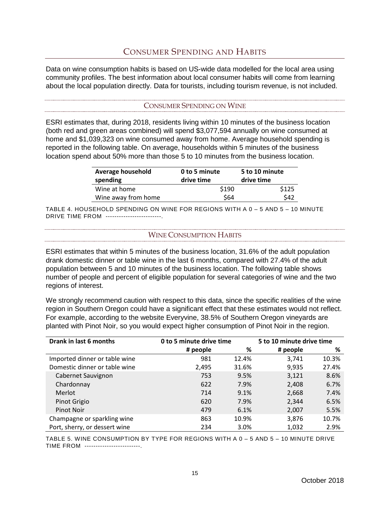## CONSUMER SPENDING AND HABITS

<span id="page-16-0"></span>Data on wine consumption habits is based on US-wide data modelled for the local area using community profiles. The best information about local consumer habits will come from learning about the local population directly. Data for tourists, including tourism revenue, is not included.

#### CONSUMER SPENDING ON WINE

<span id="page-16-1"></span>ESRI estimates that, during 2018, residents living within 10 minutes of the business location (both red and green areas combined) will spend \$3,077,594 annually on wine consumed at home and \$1,039,323 on wine consumed away from home. Average household spending is reported in the following table. On average, households within 5 minutes of the business location spend about 50% more than those 5 to 10 minutes from the business location.

| <b>Average household</b> | 0 to 5 minute | 5 to 10 minute |
|--------------------------|---------------|----------------|
| spending                 | drive time    | drive time     |
| Wine at home             | \$190         | \$125          |
| Wine away from home      | \$64          | \$42           |

<span id="page-16-2"></span>TABLE 4. HOUSEHOLD SPENDING ON WINE FOR REGIONS WITH A 0 – 5 AND 5 – 10 MINUTE DRIVE TIME FROM -------------------------.

#### WINE CONSUMPTION HABITS

ESRI estimates that within 5 minutes of the business location, 31.6% of the adult population drank domestic dinner or table wine in the last 6 months, compared with 27.4% of the adult population between 5 and 10 minutes of the business location. The following table shows number of people and percent of eligible population for several categories of wine and the two regions of interest.

We strongly recommend caution with respect to this data, since the specific realities of the wine region in Southern Oregon could have a significant effect that these estimates would not reflect. For example, according to the website Everyvine, 38.5% of Southern Oregon vineyards are planted with Pinot Noir, so you would expect higher consumption of Pinot Noir in the region.

| Drank in last 6 months        | 0 to 5 minute drive time |       | 5 to 10 minute drive time |       |  |
|-------------------------------|--------------------------|-------|---------------------------|-------|--|
|                               | # people                 | %     | # people                  | %     |  |
| Imported dinner or table wine | 981                      | 12.4% | 3,741                     | 10.3% |  |
| Domestic dinner or table wine | 2,495                    | 31.6% | 9,935                     | 27.4% |  |
| Cabernet Sauvignon            | 753                      | 9.5%  | 3,121                     | 8.6%  |  |
| Chardonnay                    | 622                      | 7.9%  | 2,408                     | 6.7%  |  |
| Merlot                        | 714                      | 9.1%  | 2,668                     | 7.4%  |  |
| Pinot Grigio                  | 620                      | 7.9%  | 2,344                     | 6.5%  |  |
| Pinot Noir                    | 479                      | 6.1%  | 2,007                     | 5.5%  |  |
| Champagne or sparkling wine   | 863                      | 10.9% | 3,876                     | 10.7% |  |
| Port, sherry, or dessert wine | 234                      | 3.0%  | 1,032                     | 2.9%  |  |

TABLE 5. WINE CONSUMPTION BY TYPE FOR REGIONS WITH A 0 – 5 AND 5 – 10 MINUTE DRIVE TIME FROM --------------------------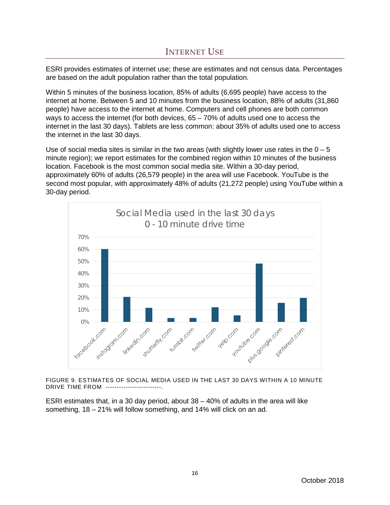<span id="page-17-0"></span>ESRI provides estimates of internet use; these are estimates and not census data. Percentages are based on the adult population rather than the total population.

Within 5 minutes of the business location, 85% of adults (6,695 people) have access to the internet at home. Between 5 and 10 minutes from the business location, 88% of adults (31,860 people) have access to the internet at home. Computers and cell phones are both common ways to access the internet (for both devices,  $65 - 70\%$  of adults used one to access the internet in the last 30 days). Tablets are less common: about 35% of adults used one to access the internet in the last 30 days.

Use of social media sites is similar in the two areas (with slightly lower use rates in the  $0 - 5$ minute region); we report estimates for the combined region within 10 minutes of the business location. Facebook is the most common social media site. Within a 30-day period, approximately 60% of adults (26,579 people) in the area will use Facebook. YouTube is the second most popular, with approximately 48% of adults (21,272 people) using YouTube within a 30-day period.



FIGURE 9. ESTIMATES OF SOCIAL MEDIA USED IN THE LAST 30 DAYS WITHIN A 10 MINUTE DRIVE TIME FROM -------------------------.

ESRI estimates that, in a 30 day period, about 38 – 40% of adults in the area will like something, 18 – 21% will follow something, and 14% will click on an ad.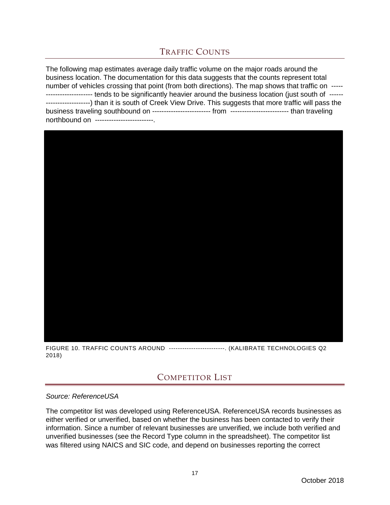# TRAFFIC COUNTS

<span id="page-18-0"></span>The following map estimates average daily traffic volume on the major roads around the business location. The documentation for this data suggests that the counts represent total number of vehicles crossing that point (from both directions). The map shows that traffic on ----- -------------------- tends to be significantly heavier around the business location (just south of ------ -------------------) than it is south of Creek View Drive. This suggests that more traffic will pass the business traveling southbound on ------------------------- from ------------------------- than traveling northbound on -------------------------.



<span id="page-18-1"></span>FIGURE 10. TRAFFIC COUNTS AROUND -------------------------. (KALIBRATE TECHNOLOGIES Q2 2018)

## COMPETITOR LIST

#### *Source: ReferenceUSA*

The competitor list was developed using ReferenceUSA. ReferenceUSA records businesses as either verified or unverified, based on whether the business has been contacted to verify their information. Since a number of relevant businesses are unverified, we include both verified and unverified businesses (see the Record Type column in the spreadsheet). The competitor list was filtered using NAICS and SIC code, and depend on businesses reporting the correct